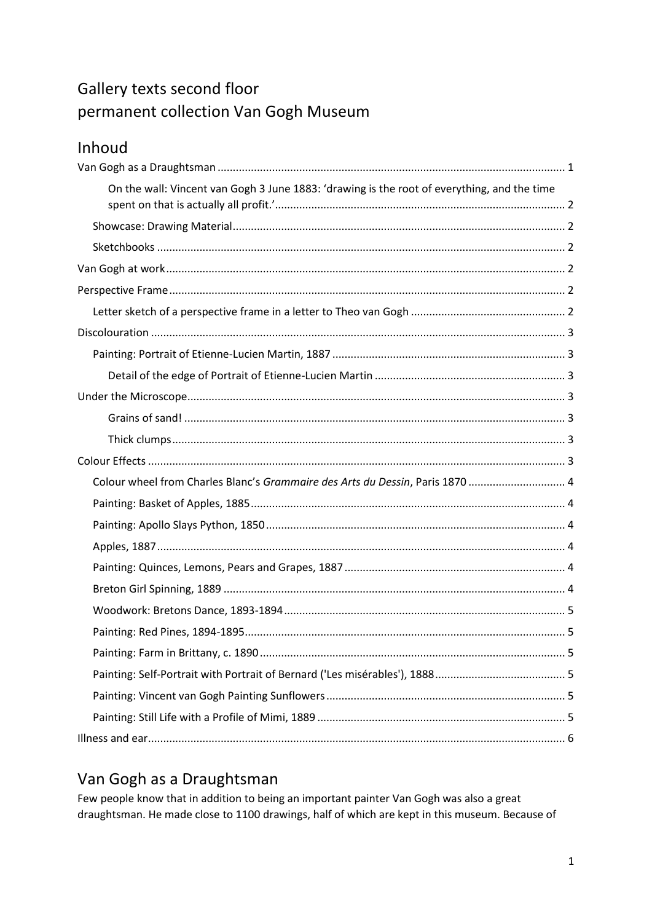# Gallery texts second floor permanent collection Van Gogh Museum

| Inhoud |
|--------|
|        |

| On the wall: Vincent van Gogh 3 June 1883: 'drawing is the root of everything, and the time |
|---------------------------------------------------------------------------------------------|
|                                                                                             |
|                                                                                             |
|                                                                                             |
|                                                                                             |
|                                                                                             |
|                                                                                             |
|                                                                                             |
|                                                                                             |
|                                                                                             |
|                                                                                             |
|                                                                                             |
|                                                                                             |
|                                                                                             |
| Colour wheel from Charles Blanc's Grammaire des Arts du Dessin, Paris 1870  4               |
|                                                                                             |
|                                                                                             |
|                                                                                             |
|                                                                                             |
|                                                                                             |
|                                                                                             |
|                                                                                             |
|                                                                                             |
|                                                                                             |
|                                                                                             |
|                                                                                             |

# <span id="page-0-0"></span>Van Gogh as a Draughtsman

Few people know that in addition to being an important painter Van Gogh was also a great draughtsman. He made close to 1100 drawings, half of which are kept in this museum. Because of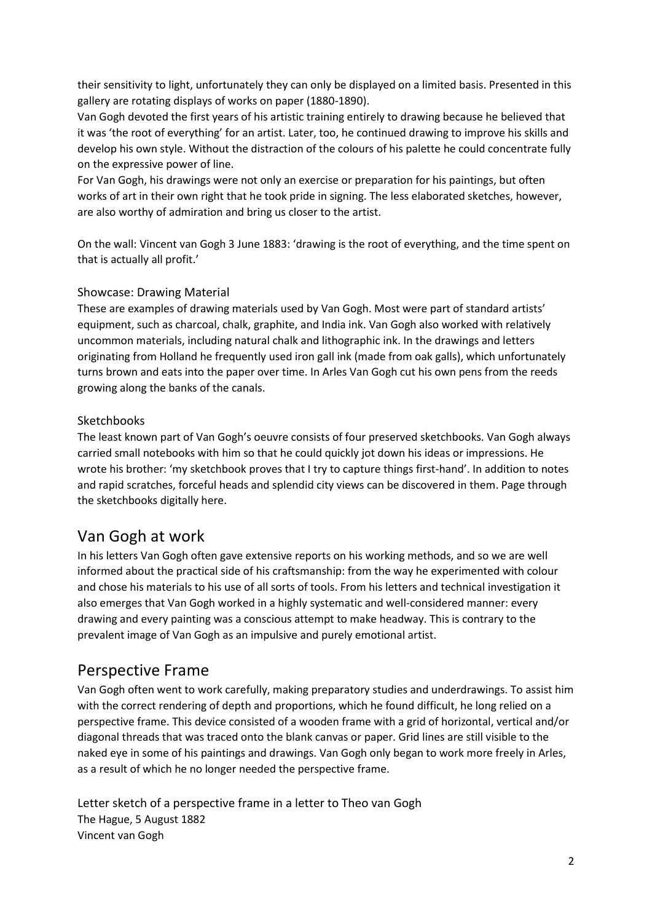their sensitivity to light, unfortunately they can only be displayed on a limited basis. Presented in this gallery are rotating displays of works on paper (1880-1890).

Van Gogh devoted the first years of his artistic training entirely to drawing because he believed that it was 'the root of everything' for an artist. Later, too, he continued drawing to improve his skills and develop his own style. Without the distraction of the colours of his palette he could concentrate fully on the expressive power of line.

For Van Gogh, his drawings were not only an exercise or preparation for his paintings, but often works of art in their own right that he took pride in signing. The less elaborated sketches, however, are also worthy of admiration and bring us closer to the artist.

<span id="page-1-0"></span>On the wall: Vincent van Gogh 3 June 1883: 'drawing is the root of everything, and the time spent on that is actually all profit.'

# <span id="page-1-1"></span>Showcase: Drawing Material

These are examples of drawing materials used by Van Gogh. Most were part of standard artists' equipment, such as charcoal, chalk, graphite, and India ink. Van Gogh also worked with relatively uncommon materials, including natural chalk and lithographic ink. In the drawings and letters originating from Holland he frequently used iron gall ink (made from oak galls), which unfortunately turns brown and eats into the paper over time. In Arles Van Gogh cut his own pens from the reeds growing along the banks of the canals.

#### <span id="page-1-2"></span>**Sketchbooks**

The least known part of Van Gogh's oeuvre consists of four preserved sketchbooks. Van Gogh always carried small notebooks with him so that he could quickly jot down his ideas or impressions. He wrote his brother: 'my sketchbook proves that I try to capture things first-hand'. In addition to notes and rapid scratches, forceful heads and splendid city views can be discovered in them. Page through the sketchbooks digitally here.

# <span id="page-1-3"></span>Van Gogh at work

In his letters Van Gogh often gave extensive reports on his working methods, and so we are well informed about the practical side of his craftsmanship: from the way he experimented with colour and chose his materials to his use of all sorts of tools. From his letters and technical investigation it also emerges that Van Gogh worked in a highly systematic and well-considered manner: every drawing and every painting was a conscious attempt to make headway. This is contrary to the prevalent image of Van Gogh as an impulsive and purely emotional artist.

# <span id="page-1-4"></span>Perspective Frame

Van Gogh often went to work carefully, making preparatory studies and underdrawings. To assist him with the correct rendering of depth and proportions, which he found difficult, he long relied on a perspective frame. This device consisted of a wooden frame with a grid of horizontal, vertical and/or diagonal threads that was traced onto the blank canvas or paper. Grid lines are still visible to the naked eye in some of his paintings and drawings. Van Gogh only began to work more freely in Arles, as a result of which he no longer needed the perspective frame.

<span id="page-1-5"></span>Letter sketch of a perspective frame in a letter to Theo van Gogh The Hague, 5 August 1882 Vincent van Gogh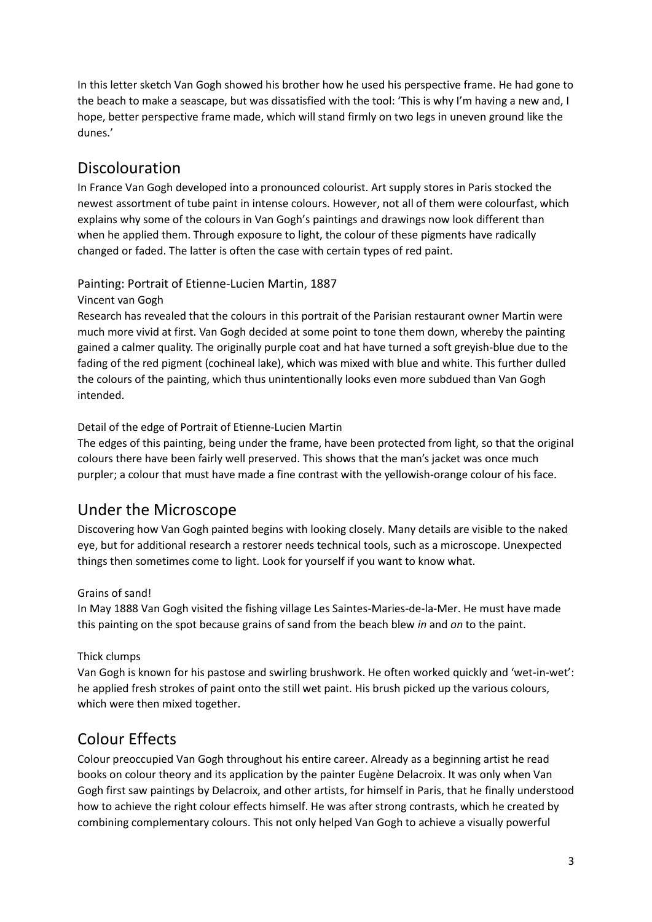In this letter sketch Van Gogh showed his brother how he used his perspective frame. He had gone to the beach to make a seascape, but was dissatisfied with the tool: 'This is why I'm having a new and, I hope, better perspective frame made, which will stand firmly on two legs in uneven ground like the dunes.'

# <span id="page-2-0"></span>Discolouration

In France Van Gogh developed into a pronounced colourist. Art supply stores in Paris stocked the newest assortment of tube paint in intense colours. However, not all of them were colourfast, which explains why some of the colours in Van Gogh's paintings and drawings now look different than when he applied them. Through exposure to light, the colour of these pigments have radically changed or faded. The latter is often the case with certain types of red paint.

<span id="page-2-1"></span>Painting: Portrait of Etienne-Lucien Martin, 1887

#### Vincent van Gogh

Research has revealed that the colours in this portrait of the Parisian restaurant owner Martin were much more vivid at first. Van Gogh decided at some point to tone them down, whereby the painting gained a calmer quality. The originally purple coat and hat have turned a soft greyish-blue due to the fading of the red pigment (cochineal lake), which was mixed with blue and white. This further dulled the colours of the painting, which thus unintentionally looks even more subdued than Van Gogh intended.

#### <span id="page-2-2"></span>Detail of the edge of Portrait of Etienne-Lucien Martin

The edges of this painting, being under the frame, have been protected from light, so that the original colours there have been fairly well preserved. This shows that the man's jacket was once much purpler; a colour that must have made a fine contrast with the yellowish-orange colour of his face.

# <span id="page-2-3"></span>Under the Microscope

Discovering how Van Gogh painted begins with looking closely. Many details are visible to the naked eye, but for additional research a restorer needs technical tools, such as a microscope. Unexpected things then sometimes come to light. Look for yourself if you want to know what.

#### <span id="page-2-4"></span>Grains of sand!

In May 1888 Van Gogh visited the fishing village Les Saintes-Maries-de-la-Mer. He must have made this painting on the spot because grains of sand from the beach blew *in* and *on* to the paint.

#### <span id="page-2-5"></span>Thick clumps

Van Gogh is known for his pastose and swirling brushwork. He often worked quickly and 'wet-in-wet': he applied fresh strokes of paint onto the still wet paint. His brush picked up the various colours, which were then mixed together.

# <span id="page-2-6"></span>Colour Effects

Colour preoccupied Van Gogh throughout his entire career. Already as a beginning artist he read books on colour theory and its application by the painter Eugène Delacroix. It was only when Van Gogh first saw paintings by Delacroix, and other artists, for himself in Paris, that he finally understood how to achieve the right colour effects himself. He was after strong contrasts, which he created by combining complementary colours. This not only helped Van Gogh to achieve a visually powerful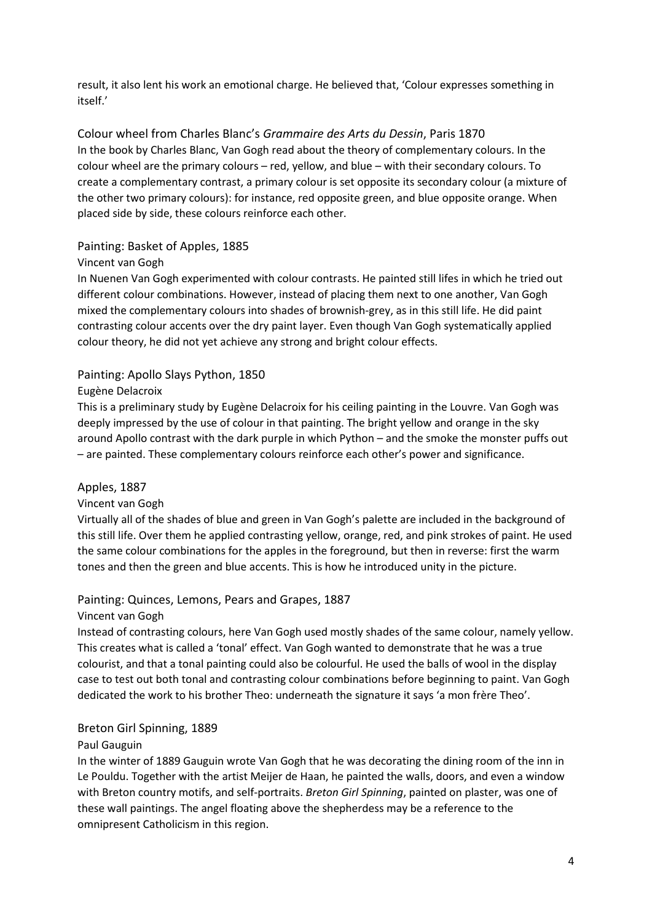result, it also lent his work an emotional charge. He believed that, 'Colour expresses something in itself.'

<span id="page-3-0"></span>Colour wheel from Charles Blanc's *Grammaire des Arts du Dessin*, Paris 1870 In the book by Charles Blanc, Van Gogh read about the theory of complementary colours. In the colour wheel are the primary colours – red, yellow, and blue – with their secondary colours. To create a complementary contrast, a primary colour is set opposite its secondary colour (a mixture of the other two primary colours): for instance, red opposite green, and blue opposite orange. When placed side by side, these colours reinforce each other.

#### <span id="page-3-1"></span>Painting: Basket of Apples, 1885

#### Vincent van Gogh

In Nuenen Van Gogh experimented with colour contrasts. He painted still lifes in which he tried out different colour combinations. However, instead of placing them next to one another, Van Gogh mixed the complementary colours into shades of brownish-grey, as in this still life. He did paint contrasting colour accents over the dry paint layer. Even though Van Gogh systematically applied colour theory, he did not yet achieve any strong and bright colour effects.

#### <span id="page-3-2"></span>Painting: Apollo Slays Python, 1850

#### Eugène Delacroix

This is a preliminary study by Eugène Delacroix for his ceiling painting in the Louvre. Van Gogh was deeply impressed by the use of colour in that painting. The bright yellow and orange in the sky around Apollo contrast with the dark purple in which Python – and the smoke the monster puffs out – are painted. These complementary colours reinforce each other's power and significance.

#### <span id="page-3-3"></span>Apples, 1887

#### Vincent van Gogh

Virtually all of the shades of blue and green in Van Gogh's palette are included in the background of this still life. Over them he applied contrasting yellow, orange, red, and pink strokes of paint. He used the same colour combinations for the apples in the foreground, but then in reverse: first the warm tones and then the green and blue accents. This is how he introduced unity in the picture.

#### <span id="page-3-4"></span>Painting: Quinces, Lemons, Pears and Grapes, 1887

#### Vincent van Gogh

Instead of contrasting colours, here Van Gogh used mostly shades of the same colour, namely yellow. This creates what is called a 'tonal' effect. Van Gogh wanted to demonstrate that he was a true colourist, and that a tonal painting could also be colourful. He used the balls of wool in the display case to test out both tonal and contrasting colour combinations before beginning to paint. Van Gogh dedicated the work to his brother Theo: underneath the signature it says 'a mon frère Theo'.

#### <span id="page-3-5"></span>Breton Girl Spinning, 1889

#### Paul Gauguin

In the winter of 1889 Gauguin wrote Van Gogh that he was decorating the dining room of the inn in Le Pouldu. Together with the artist Meijer de Haan, he painted the walls, doors, and even a window with Breton country motifs, and self-portraits. *Breton Girl Spinning*, painted on plaster, was one of these wall paintings. The angel floating above the shepherdess may be a reference to the omnipresent Catholicism in this region.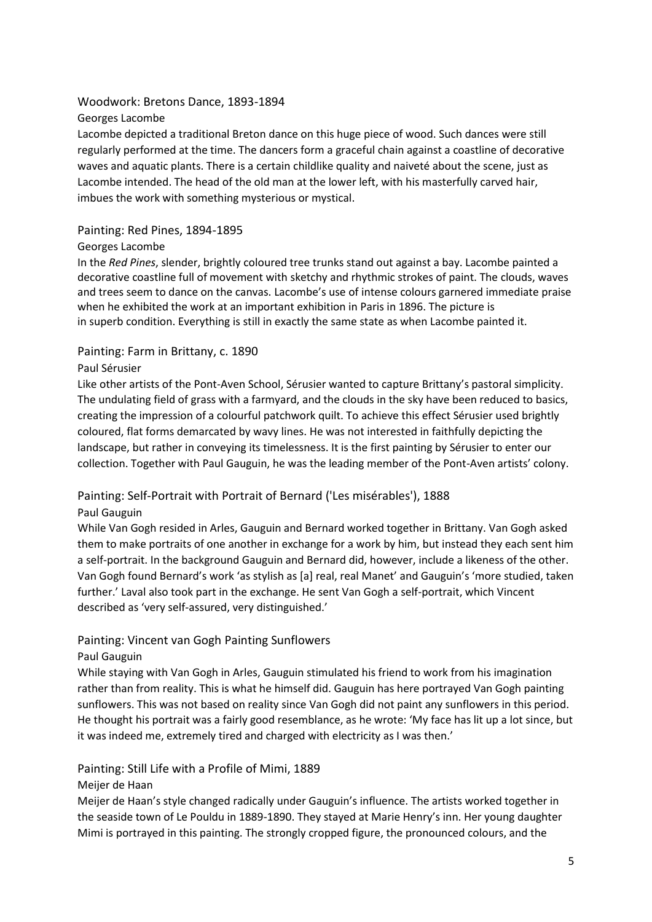# <span id="page-4-0"></span>Woodwork: Bretons Dance, 1893-1894

Georges Lacombe

Lacombe depicted a traditional Breton dance on this huge piece of wood. Such dances were still regularly performed at the time. The dancers form a graceful chain against a coastline of decorative waves and aquatic plants. There is a certain childlike quality and naiveté about the scene, just as Lacombe intended. The head of the old man at the lower left, with his masterfully carved hair, imbues the work with something mysterious or mystical.

#### <span id="page-4-1"></span>Painting: Red Pines, 1894-1895

#### Georges Lacombe

In the *Red Pines*, slender, brightly coloured tree trunks stand out against a bay. Lacombe painted a decorative coastline full of movement with sketchy and rhythmic strokes of paint. The clouds, waves and trees seem to dance on the canvas. Lacombe's use of intense colours garnered immediate praise when he exhibited the work at an important exhibition in Paris in 1896. The picture is in superb condition. Everything is still in exactly the same state as when Lacombe painted it.

#### <span id="page-4-2"></span>Painting: Farm in Brittany, c. 1890

#### Paul Sérusier

Like other artists of the Pont-Aven School, Sérusier wanted to capture Brittany's pastoral simplicity. The undulating field of grass with a farmyard, and the clouds in the sky have been reduced to basics, creating the impression of a colourful patchwork quilt. To achieve this effect Sérusier used brightly coloured, flat forms demarcated by wavy lines. He was not interested in faithfully depicting the landscape, but rather in conveying its timelessness. It is the first painting by Sérusier to enter our collection. Together with Paul Gauguin, he was the leading member of the Pont-Aven artists' colony.

# <span id="page-4-3"></span>Painting: Self-Portrait with Portrait of Bernard ('Les misérables'), 1888

#### Paul Gauguin

While Van Gogh resided in Arles, Gauguin and Bernard worked together in Brittany. Van Gogh asked them to make portraits of one another in exchange for a work by him, but instead they each sent him a self-portrait. In the background Gauguin and Bernard did, however, include a likeness of the other. Van Gogh found Bernard's work 'as stylish as [a] real, real Manet' and Gauguin's 'more studied, taken further.' Laval also took part in the exchange. He sent Van Gogh a self-portrait, which Vincent described as 'very self-assured, very distinguished.'

# <span id="page-4-4"></span>Painting: Vincent van Gogh Painting Sunflowers

#### Paul Gauguin

While staying with Van Gogh in Arles, Gauguin stimulated his friend to work from his imagination rather than from reality. This is what he himself did. Gauguin has here portrayed Van Gogh painting sunflowers. This was not based on reality since Van Gogh did not paint any sunflowers in this period. He thought his portrait was a fairly good resemblance, as he wrote: 'My face has lit up a lot since, but it was indeed me, extremely tired and charged with electricity as I was then.'

# <span id="page-4-5"></span>Painting: Still Life with a Profile of Mimi, 1889

# Meijer de Haan

Meijer de Haan's style changed radically under Gauguin's influence. The artists worked together in the seaside town of Le Pouldu in 1889-1890. They stayed at Marie Henry's inn. Her young daughter Mimi is portrayed in this painting. The strongly cropped figure, the pronounced colours, and the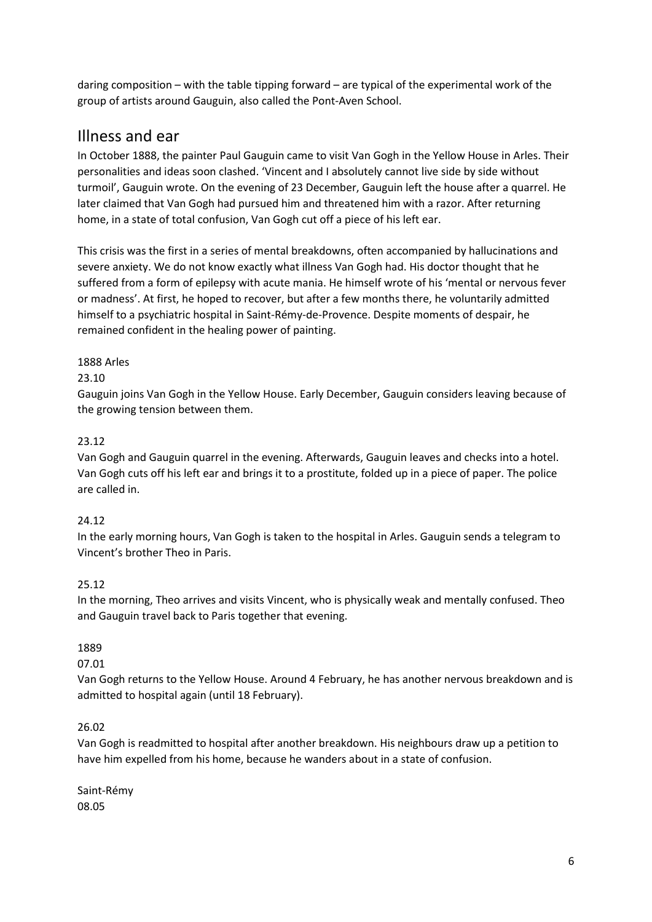daring composition – with the table tipping forward – are typical of the experimental work of the group of artists around Gauguin, also called the Pont-Aven School.

# <span id="page-5-0"></span>Illness and ear

In October 1888, the painter Paul Gauguin came to visit Van Gogh in the Yellow House in Arles. Their personalities and ideas soon clashed. 'Vincent and I absolutely cannot live side by side without turmoil', Gauguin wrote. On the evening of 23 December, Gauguin left the house after a quarrel. He later claimed that Van Gogh had pursued him and threatened him with a razor. After returning home, in a state of total confusion, Van Gogh cut off a piece of his left ear.

This crisis was the first in a series of mental breakdowns, often accompanied by hallucinations and severe anxiety. We do not know exactly what illness Van Gogh had. His doctor thought that he suffered from a form of epilepsy with acute mania. He himself wrote of his 'mental or nervous fever or madness'. At first, he hoped to recover, but after a few months there, he voluntarily admitted himself to a psychiatric hospital in Saint-Rémy-de-Provence. Despite moments of despair, he remained confident in the healing power of painting.

# 1888 Arles

#### 23.10

Gauguin joins Van Gogh in the Yellow House. Early December, Gauguin considers leaving because of the growing tension between them.

# 23.12

Van Gogh and Gauguin quarrel in the evening. Afterwards, Gauguin leaves and checks into a hotel. Van Gogh cuts off his left ear and brings it to a prostitute, folded up in a piece of paper. The police are called in.

# 24.12

In the early morning hours, Van Gogh is taken to the hospital in Arles. Gauguin sends a telegram to Vincent's brother Theo in Paris.

# 25.12

In the morning, Theo arrives and visits Vincent, who is physically weak and mentally confused. Theo and Gauguin travel back to Paris together that evening.

# 1889

#### 07.01

Van Gogh returns to the Yellow House. Around 4 February, he has another nervous breakdown and is admitted to hospital again (until 18 February).

# 26.02

Van Gogh is readmitted to hospital after another breakdown. His neighbours draw up a petition to have him expelled from his home, because he wanders about in a state of confusion.

Saint-Rémy 08.05